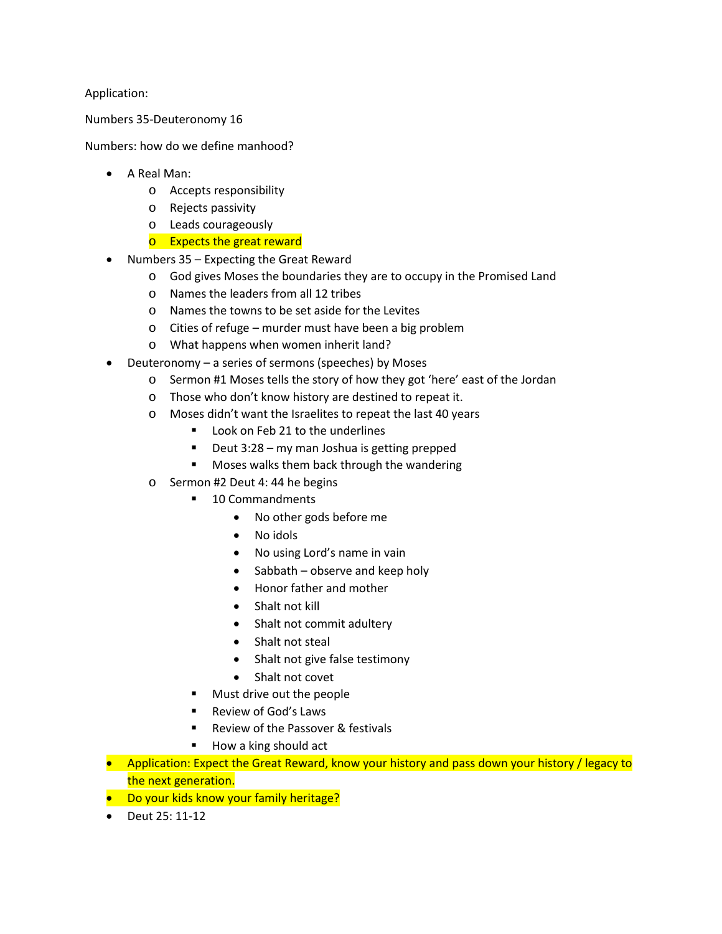Application:

Numbers 35-Deuteronomy 16

Numbers: how do we define manhood?

- A Real Man:
	- o Accepts responsibility
	- o Rejects passivity
	- o Leads courageously
	- o Expects the great reward
- Numbers 35 Expecting the Great Reward
	- o God gives Moses the boundaries they are to occupy in the Promised Land
	- o Names the leaders from all 12 tribes
	- o Names the towns to be set aside for the Levites
	- o Cities of refuge murder must have been a big problem
	- o What happens when women inherit land?
- Deuteronomy a series of sermons (speeches) by Moses
	- o Sermon #1 Moses tells the story of how they got 'here' east of the Jordan
	- o Those who don't know history are destined to repeat it.
	- o Moses didn't want the Israelites to repeat the last 40 years
		- Look on Feb 21 to the underlines
		- Deut 3:28 my man Joshua is getting prepped
		- Moses walks them back through the wandering
	- o Sermon #2 Deut 4: 44 he begins
		- 10 Commandments
			- No other gods before me
			- No idols
			- No using Lord's name in vain
			- Sabbath observe and keep holy
			- Honor father and mother
			- Shalt not kill
			- Shalt not commit adultery
			- Shalt not steal
			- Shalt not give false testimony
			- Shalt not covet
		- Must drive out the people
		- Review of God's Laws
		- Review of the Passover & festivals
		- How a king should act
- Application: Expect the Great Reward, know your history and pass down your history / legacy to the next generation.
- Do your kids know your family heritage?
- Deut 25: 11-12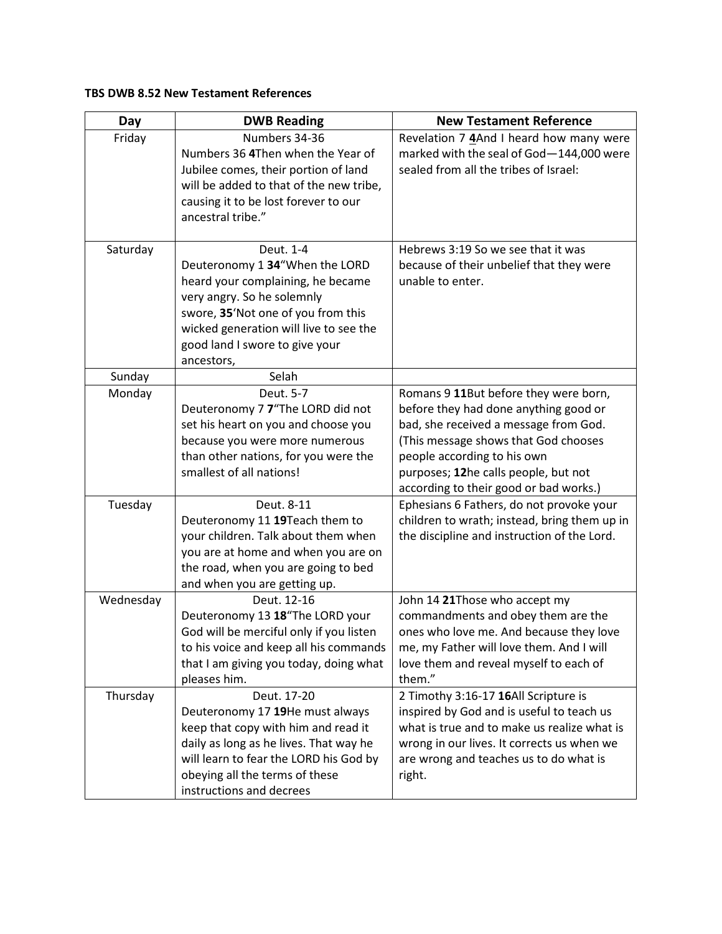## **TBS DWB 8.52 New Testament References**

| Day       | <b>DWB Reading</b>                                                                                                                                                                                                                             | <b>New Testament Reference</b>                                                                                                                                                                                                                                                   |
|-----------|------------------------------------------------------------------------------------------------------------------------------------------------------------------------------------------------------------------------------------------------|----------------------------------------------------------------------------------------------------------------------------------------------------------------------------------------------------------------------------------------------------------------------------------|
| Friday    | Numbers 34-36<br>Numbers 36 4Then when the Year of<br>Jubilee comes, their portion of land<br>will be added to that of the new tribe,<br>causing it to be lost forever to our<br>ancestral tribe."                                             | Revelation 7 4And I heard how many were<br>marked with the seal of God-144,000 were<br>sealed from all the tribes of Israel:                                                                                                                                                     |
| Saturday  | Deut. 1-4<br>Deuteronomy 1 34"When the LORD<br>heard your complaining, he became<br>very angry. So he solemnly<br>swore, 35'Not one of you from this<br>wicked generation will live to see the<br>good land I swore to give your<br>ancestors, | Hebrews 3:19 So we see that it was<br>because of their unbelief that they were<br>unable to enter.                                                                                                                                                                               |
| Sunday    | Selah                                                                                                                                                                                                                                          |                                                                                                                                                                                                                                                                                  |
| Monday    | Deut. 5-7<br>Deuteronomy 7 7"The LORD did not<br>set his heart on you and choose you<br>because you were more numerous<br>than other nations, for you were the<br>smallest of all nations!                                                     | Romans 9 11But before they were born,<br>before they had done anything good or<br>bad, she received a message from God.<br>(This message shows that God chooses<br>people according to his own<br>purposes; 12he calls people, but not<br>according to their good or bad works.) |
| Tuesday   | Deut. 8-11<br>Deuteronomy 11 19Teach them to<br>your children. Talk about them when<br>you are at home and when you are on<br>the road, when you are going to bed<br>and when you are getting up.                                              | Ephesians 6 Fathers, do not provoke your<br>children to wrath; instead, bring them up in<br>the discipline and instruction of the Lord.                                                                                                                                          |
| Wednesday | Deut. 12-16<br>Deuteronomy 13 18"The LORD your<br>God will be merciful only if you listen<br>to his voice and keep all his commands<br>that I am giving you today, doing what<br>pleases him.                                                  | John 14 21Those who accept my<br>commandments and obey them are the<br>ones who love me. And because they love<br>me, my Father will love them. And I will<br>love them and reveal myself to each of<br>them."                                                                   |
| Thursday  | Deut. 17-20<br>Deuteronomy 17 19He must always<br>keep that copy with him and read it<br>daily as long as he lives. That way he<br>will learn to fear the LORD his God by<br>obeying all the terms of these<br>instructions and decrees        | 2 Timothy 3:16-17 16All Scripture is<br>inspired by God and is useful to teach us<br>what is true and to make us realize what is<br>wrong in our lives. It corrects us when we<br>are wrong and teaches us to do what is<br>right.                                               |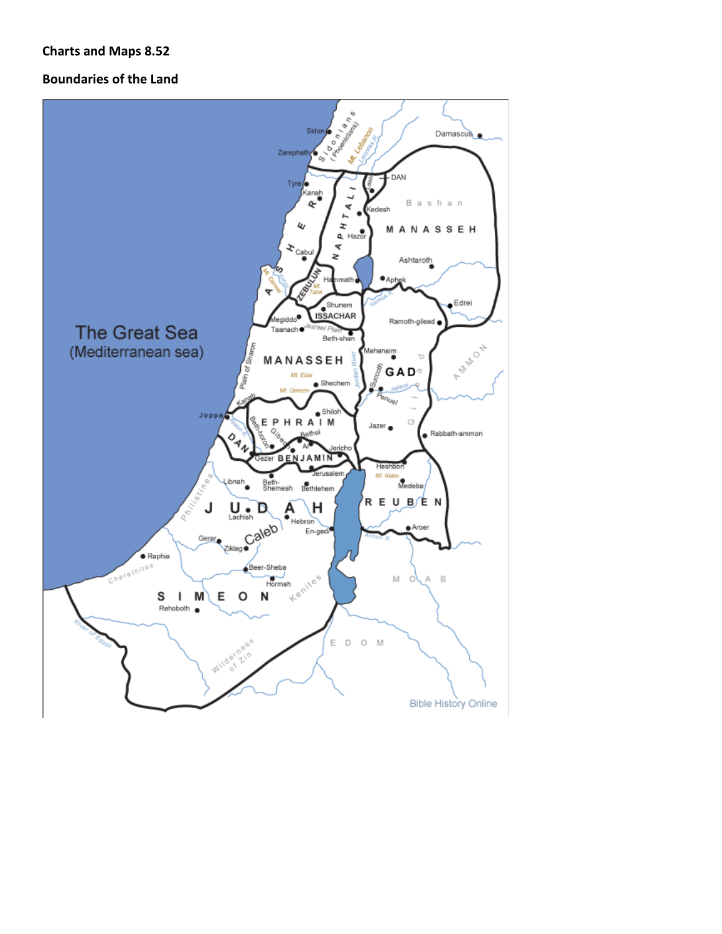## **Charts and Maps 8.52**

## **Boundaries of the Land**

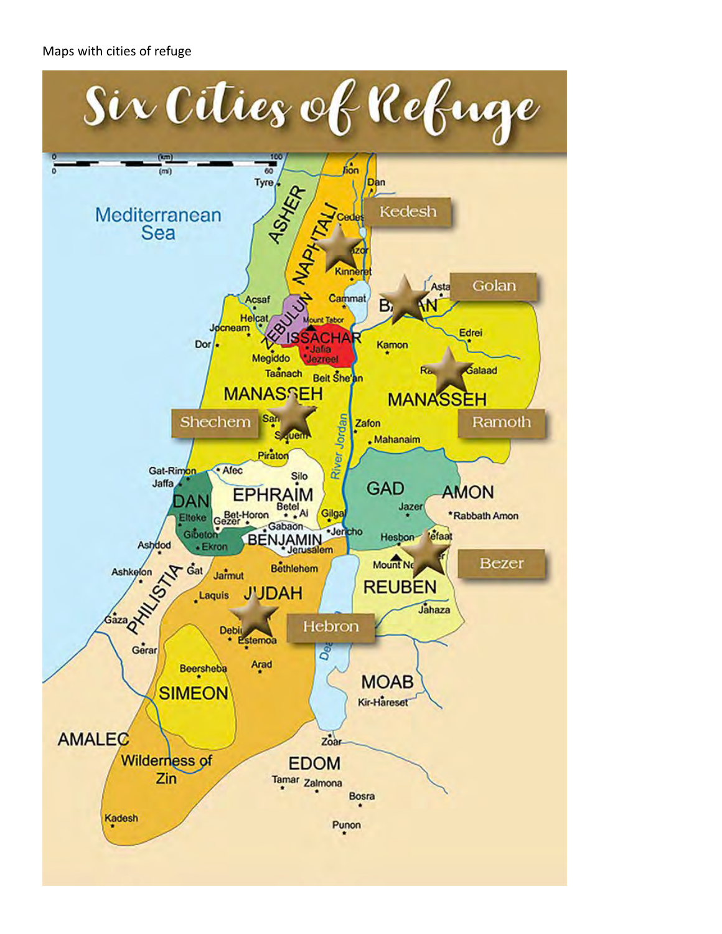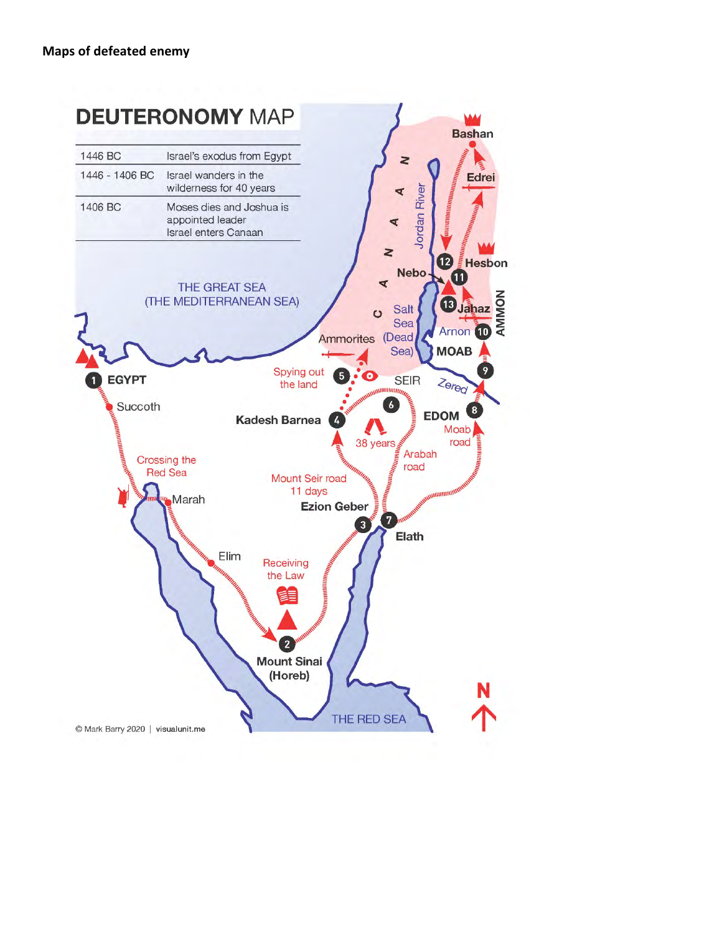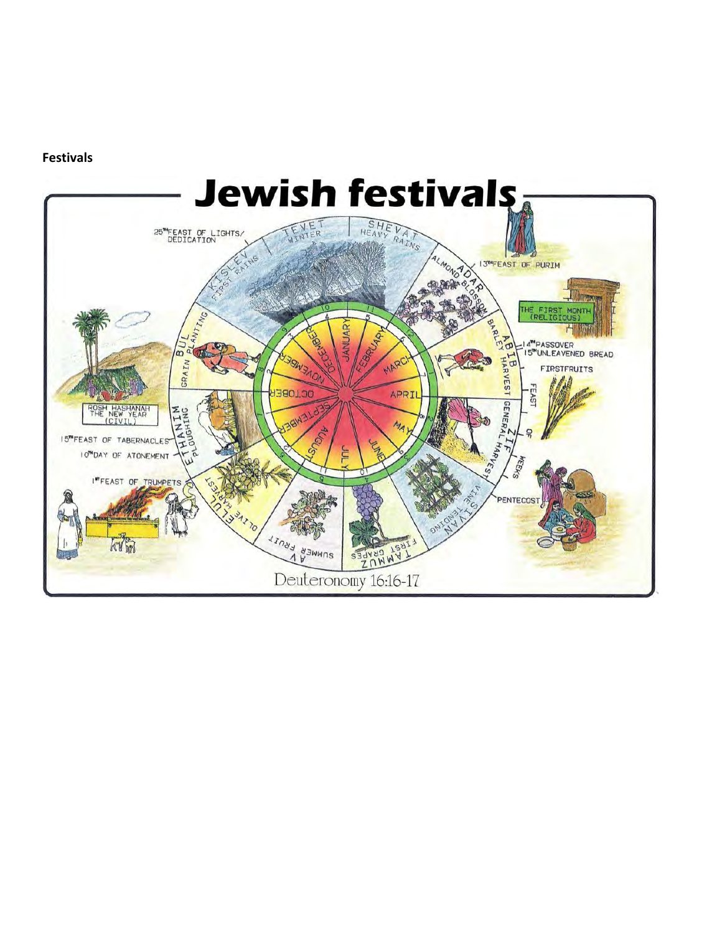**Festivals**